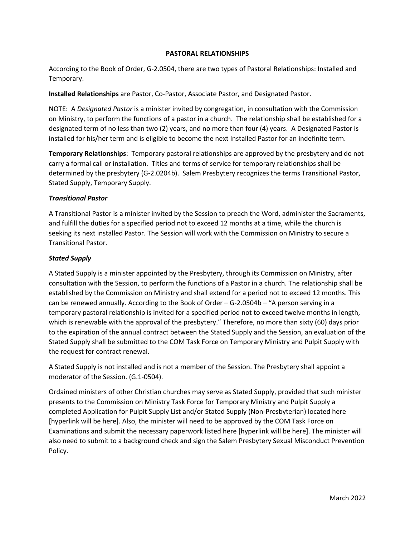## **PASTORAL RELATIONSHIPS**

According to the Book of Order, G-2.0504, there are two types of Pastoral Relationships: Installed and Temporary.

**Installed Relationships** are Pastor, Co-Pastor, Associate Pastor, and Designated Pastor.

NOTE: A *Designated Pastor* is a minister invited by congregation, in consultation with the Commission on Ministry, to perform the functions of a pastor in a church. The relationship shall be established for a designated term of no less than two (2) years, and no more than four (4) years. A Designated Pastor is installed for his/her term and is eligible to become the next Installed Pastor for an indefinite term.

**Temporary Relationships**: Temporary pastoral relationships are approved by the presbytery and do not carry a formal call or installation. Titles and terms of service for temporary relationships shall be determined by the presbytery (G-2.0204b). Salem Presbytery recognizes the terms Transitional Pastor, Stated Supply, Temporary Supply.

## *Transitional Pastor*

A Transitional Pastor is a minister invited by the Session to preach the Word, administer the Sacraments, and fulfill the duties for a specified period not to exceed 12 months at a time, while the church is seeking its next installed Pastor. The Session will work with the Commission on Ministry to secure a Transitional Pastor.

## *Stated Supply*

A Stated Supply is a minister appointed by the Presbytery, through its Commission on Ministry, after consultation with the Session, to perform the functions of a Pastor in a church. The relationship shall be established by the Commission on Ministry and shall extend for a period not to exceed 12 months. This can be renewed annually. According to the Book of Order – G-2.0504b – "A person serving in a temporary pastoral relationship is invited for a specified period not to exceed twelve months in length, which is renewable with the approval of the presbytery." Therefore, no more than sixty (60) days prior to the expiration of the annual contract between the Stated Supply and the Session, an evaluation of the Stated Supply shall be submitted to the COM Task Force on Temporary Ministry and Pulpit Supply with the request for contract renewal.

A Stated Supply is not installed and is not a member of the Session. The Presbytery shall appoint a moderator of the Session. (G.1-0504).

Ordained ministers of other Christian churches may serve as Stated Supply, provided that such minister presents to the Commission on Ministry Task Force for Temporary Ministry and Pulpit Supply a completed Application for Pulpit Supply List and/or Stated Supply (Non-Presbyterian) located here [hyperlink will be here]. Also, the minister will need to be approved by the COM Task Force on Examinations and submit the necessary paperwork listed here [hyperlink will be here]. The minister will also need to submit to a background check and sign the Salem Presbytery Sexual Misconduct Prevention Policy.